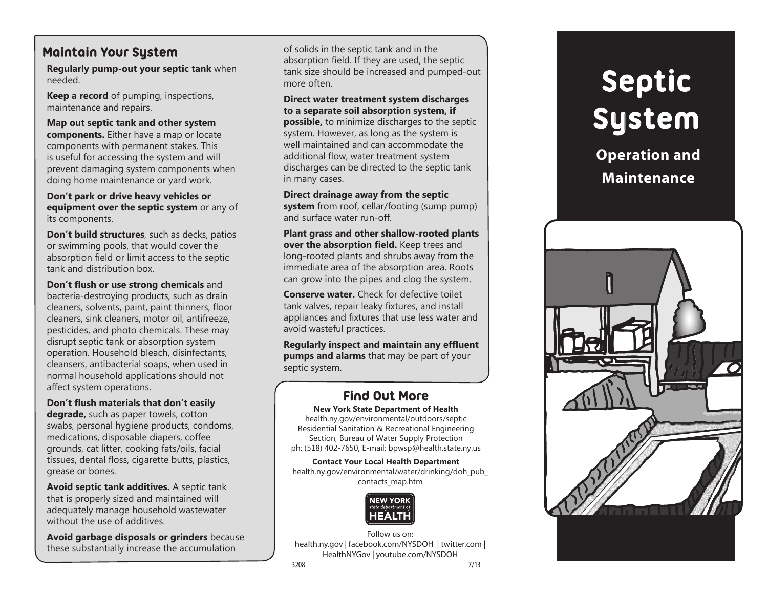## **Maintain Your System**

**Regularly pump-out your septic tank** when needed.

**Keep a record** of pumping, inspections, maintenance and repairs.

**Map out septic tank and other system components.** Either have a map or locate components with permanent stakes. This is useful for accessing the system and will prevent damaging system components when doing home maintenance or yard work.

**Don't park or drive heavy vehicles or equipment over the septic system** or any of its components.

**Don't build structures**, such as decks, patios or swimming pools, that would cover the absorption field or limit access to the septic tank and distribution box.

**Don't flush or use strong chemicals** and bacteria-destroying products, such as drain cleaners, solvents, paint, paint thinners, floor cleaners, sink cleaners, motor oil, antifreeze, pesticides, and photo chemicals. These may disrupt septic tank or absorption system operation. Household bleach, disinfectants, cleansers, antibacterial soaps, when used in normal household applications should not affect system operations.

**Don't flush materials that don't easily degrade,** such as paper towels, cotton swabs, personal hygiene products, condoms, medications, disposable diapers, coffee grounds, cat litter, cooking fats/oils, facial tissues, dental floss, cigarette butts, plastics, grease or bones.

**Avoid septic tank additives.** A septic tank that is properly sized and maintained will adequately manage household wastewater without the use of additives.

**Avoid garbage disposals or grinders** because these substantially increase the accumulation

of solids in the septic tank and in the absorption field. If they are used, the septic tank size should be increased and pumped-out more often.

**Direct water treatment system discharges to a separate soil absorption system, if possible,** to minimize discharges to the septic system. However, as long as the system is well maintained and can accommodate the additional flow, water treatment system discharges can be directed to the septic tank in many cases.

**Direct drainage away from the septic system** from roof, cellar/footing (sump pump) and surface water run-off.

**Plant grass and other shallow-rooted plants over the absorption field.** Keep trees and long-rooted plants and shrubs away from the immediate area of the absorption area. Roots can grow into the pipes and clog the system.

**Conserve water.** Check for defective toilet tank valves, repair leaky fixtures, and install appliances and fixtures that use less water and avoid wasteful practices.

**Regularly inspect and maintain any effluent pumps and alarms** that may be part of your septic system.

## **Find Out More**

**New York State Department of Health** health.ny.gov/environmental/outdoors/septic Residential Sanitation & Recreational Engineering Section, Bureau of Water Supply Protection

ph: (518) 402-7650, E-mail: bpwsp@health.state.ny.us

**Contact Your Local Health Department** health.ny.gov/environmental/water/drinking/doh\_pub\_ contacts\_map.htm



Follow us on: health.ny.gov | facebook.com/NYSDOH | twitter.com | HealthNYGov | youtube.com/NYSDOH 3208 7/13

# **Septic System**

**Operation and Maintenance**